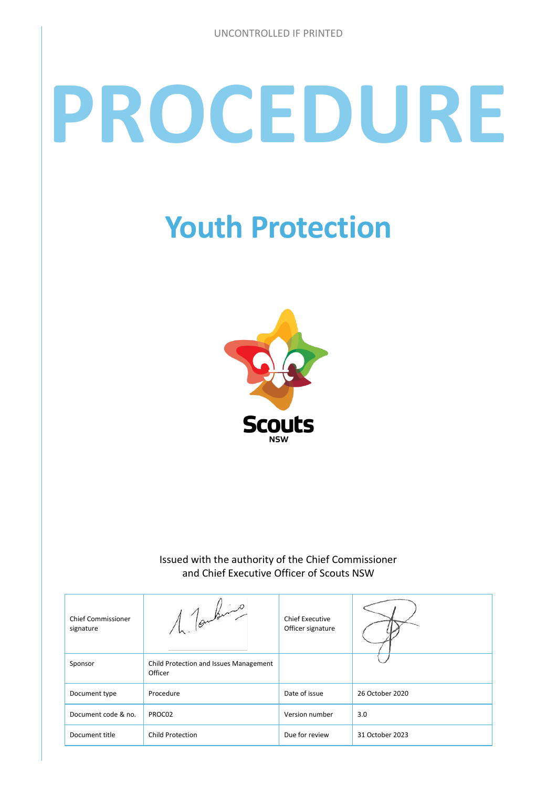# **PROCEDURE**

# **Youth Protection**



#### Issued with the authority of the Chief Commissioner and Chief Executive Officer of Scouts NSW

| <b>Chief Commissioner</b><br>signature | 1 Toutens                                         | <b>Chief Executive</b><br>Officer signature |                 |
|----------------------------------------|---------------------------------------------------|---------------------------------------------|-----------------|
| Sponsor                                | Child Protection and Issues Management<br>Officer |                                             |                 |
| Document type                          | Procedure                                         | Date of issue                               | 26 October 2020 |
| Document code & no.                    | PROC02                                            | Version number                              | 3.0             |
| Document title                         | <b>Child Protection</b>                           | Due for review                              | 31 October 2023 |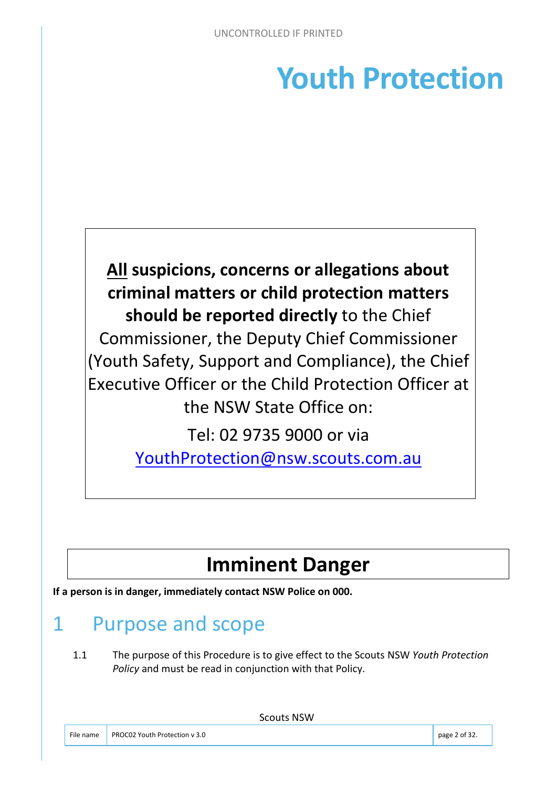# **Youth Protection**



[YouthProtection@nsw.scouts.com.au](mailto:YouthProtection@nsw.scouts.com.au) 

# **Imminent Danger**

**If a person is in danger, immediately contact NSW Police on 000.** 

# 1 Purpose and scope

1.1 The purpose of this Procedure is to give effect to the Scouts NSW *Youth Protection Policy* and must be read in conjunction with that Policy.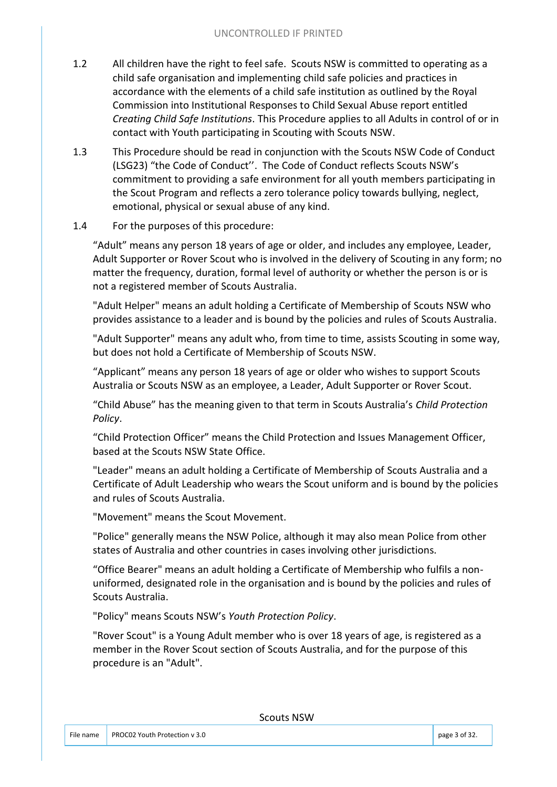- 1.2 All children have the right to feel safe. Scouts NSW is committed to operating as a child safe organisation and implementing child safe policies and practices in accordance with the elements of a child safe institution as outlined by the Royal Commission into Institutional Responses to Child Sexual Abuse report entitled *Creating Child Safe Institutions*. This Procedure applies to all Adults in control of or in contact with Youth participating in Scouting with Scouts NSW.
- 1.3 This Procedure should be read in conjunction with the Scouts NSW Code of Conduct (LSG23) "the Code of Conduct''. The Code of Conduct reflects Scouts NSW's commitment to providing a safe environment for all youth members participating in the Scout Program and reflects a zero tolerance policy towards bullying, neglect, emotional, physical or sexual abuse of any kind.

#### 1.4 For the purposes of this procedure:

"Adult" means any person 18 years of age or older, and includes any employee, Leader, Adult Supporter or Rover Scout who is involved in the delivery of Scouting in any form; no matter the frequency, duration, formal level of authority or whether the person is or is not a registered member of Scouts Australia.

"Adult Helper" means an adult holding a Certificate of Membership of Scouts NSW who provides assistance to a leader and is bound by the policies and rules of Scouts Australia.

"Adult Supporter" means any adult who, from time to time, assists Scouting in some way, but does not hold a Certificate of Membership of Scouts NSW.

"Applicant" means any person 18 years of age or older who wishes to support Scouts Australia or Scouts NSW as an employee, a Leader, Adult Supporter or Rover Scout.

"Child Abuse" has the meaning given to that term in Scouts Australia's *Child Protection Policy*.

"Child Protection Officer" means the Child Protection and Issues Management Officer, based at the Scouts NSW State Office.

"Leader" means an adult holding a Certificate of Membership of Scouts Australia and a Certificate of Adult Leadership who wears the Scout uniform and is bound by the policies and rules of Scouts Australia.

"Movement" means the Scout Movement.

"Police" generally means the NSW Police, although it may also mean Police from other states of Australia and other countries in cases involving other jurisdictions.

"Office Bearer" means an adult holding a Certificate of Membership who fulfils a nonuniformed, designated role in the organisation and is bound by the policies and rules of Scouts Australia.

"Policy" means Scouts NSW's *Youth Protection Policy*.

"Rover Scout" is a Young Adult member who is over 18 years of age, is registered as a member in the Rover Scout section of Scouts Australia, and for the purpose of this procedure is an "Adult".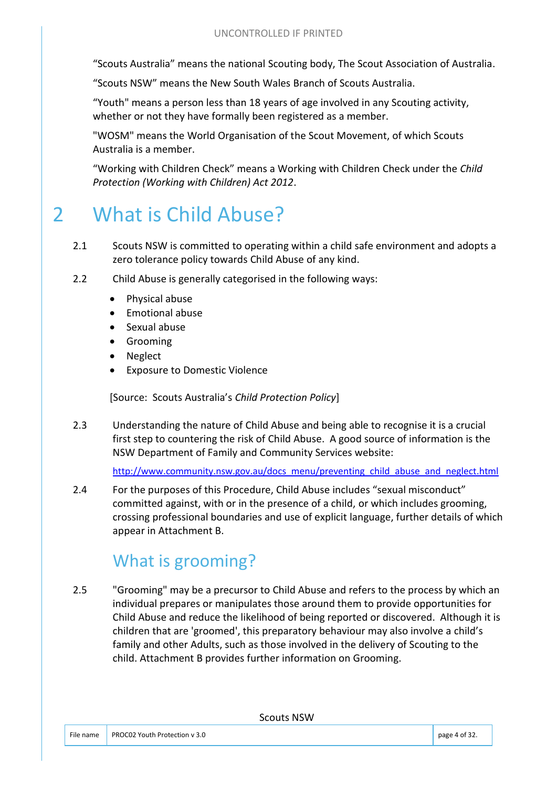"Scouts Australia" means the national Scouting body, The Scout Association of Australia.

"Scouts NSW" means the New South Wales Branch of Scouts Australia.

"Youth" means a person less than 18 years of age involved in any Scouting activity, whether or not they have formally been registered as a member.

"WOSM" means the World Organisation of the Scout Movement, of which Scouts Australia is a member.

"Working with Children Check" means a Working with Children Check under the *Child Protection (Working with Children) Act 2012*.

# 2 What is Child Abuse?

- 2.1 Scouts NSW is committed to operating within a child safe environment and adopts a zero tolerance policy towards Child Abuse of any kind.
- 2.2 Child Abuse is generally categorised in the following ways:
	- Physical abuse
	- Emotional abuse
	- Sexual abuse
	- Grooming
	- Neglect
	- Exposure to Domestic Violence

[Source: Scouts Australia's *Child Protection Policy*]

2.3 Understanding the nature of Child Abuse and being able to recognise it is a crucial first step to countering the risk of Child Abuse. A good source of information is the NSW Department of Family and Community Services website:

[http://www.community.nsw.gov.au/docs\\_menu/preventing\\_child\\_abuse\\_and\\_neglect.html](http://www.community.nsw.gov.au/docs_menu/preventing_child_abuse_and_neglect.html)

2.4 For the purposes of this Procedure, Child Abuse includes "sexual misconduct" committed against, with or in the presence of a child, or which includes grooming, crossing professional boundaries and use of explicit language, further details of which appear in Attachment B.

## What is grooming?

2.5 "Grooming" may be a precursor to Child Abuse and refers to the process by which an individual prepares or manipulates those around them to provide opportunities for Child Abuse and reduce the likelihood of being reported or discovered. Although it is children that are 'groomed', this preparatory behaviour may also involve a child's family and other Adults, such as those involved in the delivery of Scouting to the child. Attachment B provides further information on Grooming.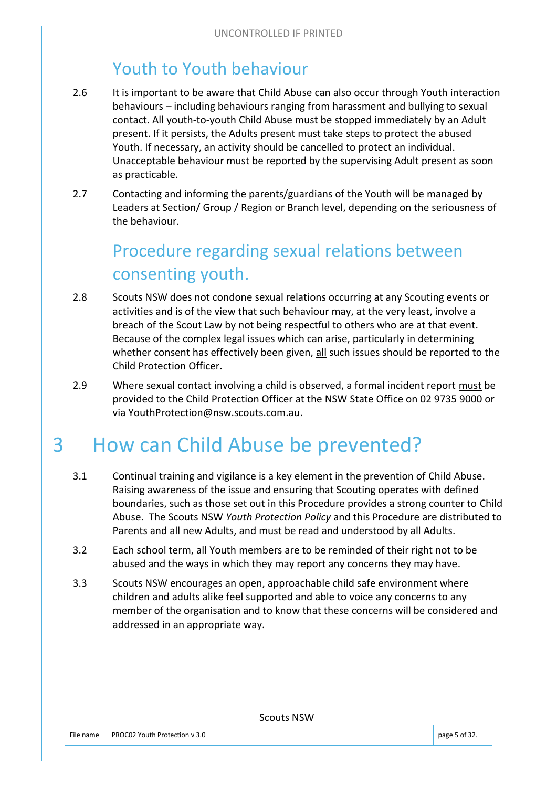## Youth to Youth behaviour

- 2.6 It is important to be aware that Child Abuse can also occur through Youth interaction behaviours – including behaviours ranging from harassment and bullying to sexual contact. All youth-to-youth Child Abuse must be stopped immediately by an Adult present. If it persists, the Adults present must take steps to protect the abused Youth. If necessary, an activity should be cancelled to protect an individual. Unacceptable behaviour must be reported by the supervising Adult present as soon as practicable.
- 2.7 Contacting and informing the parents/guardians of the Youth will be managed by Leaders at Section/ Group / Region or Branch level, depending on the seriousness of the behaviour.

## Procedure regarding sexual relations between consenting youth.

- 2.8 Scouts NSW does not condone sexual relations occurring at any Scouting events or activities and is of the view that such behaviour may, at the very least, involve a breach of the Scout Law by not being respectful to others who are at that event. Because of the complex legal issues which can arise, particularly in determining whether consent has effectively been given, all such issues should be reported to the Child Protection Officer.
- 2.9 Where sexual contact involving a child is observed, a formal incident report must be provided to the Child Protection Officer at the NSW State Office on 02 9735 9000 or via [YouthProtection@nsw.scouts.com.au.](mailto:ChildProtection@nsw.scouts.com.au)

# 3 How can Child Abuse be prevented?

- 3.1 Continual training and vigilance is a key element in the prevention of Child Abuse. Raising awareness of the issue and ensuring that Scouting operates with defined boundaries, such as those set out in this Procedure provides a strong counter to Child Abuse. The Scouts NSW *Youth Protection Policy* and this Procedure are distributed to Parents and all new Adults, and must be read and understood by all Adults.
- 3.2 Each school term, all Youth members are to be reminded of their right not to be abused and the ways in which they may report any concerns they may have.
- 3.3 Scouts NSW encourages an open, approachable child safe environment where children and adults alike feel supported and able to voice any concerns to any member of the organisation and to know that these concerns will be considered and addressed in an appropriate way.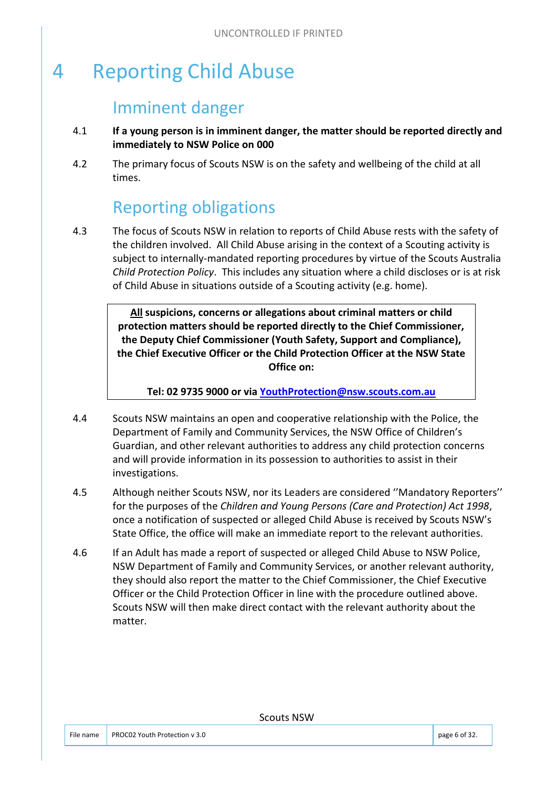# 4 Reporting Child Abuse

#### Imminent danger

- 4.1 **If a young person is in imminent danger, the matter should be reported directly and immediately to NSW Police on 000**
- 4.2 The primary focus of Scouts NSW is on the safety and wellbeing of the child at all times.

## Reporting obligations

4.3 The focus of Scouts NSW in relation to reports of Child Abuse rests with the safety of the children involved. All Child Abuse arising in the context of a Scouting activity is subject to internally-mandated reporting procedures by virtue of the Scouts Australia *Child Protection Policy*. This includes any situation where a child discloses or is at risk of Child Abuse in situations outside of a Scouting activity (e.g. home).

> **All suspicions, concerns or allegations about criminal matters or child protection matters should be reported directly to the Chief Commissioner, the Deputy Chief Commissioner (Youth Safety, Support and Compliance), the Chief Executive Officer or the Child Protection Officer at the NSW State Office on:**

**Tel: 02 9735 9000 or via [YouthProtection@nsw.scouts.com.au](mailto:YouthProtection@nsw.scouts.com.au)**

- 4.4 Scouts NSW maintains an open and cooperative relationship with the Police, the Department of Family and Community Services, the NSW Office of Children's Guardian, and other relevant authorities to address any child protection concerns and will provide information in its possession to authorities to assist in their investigations.
- 4.5 Although neither Scouts NSW, nor its Leaders are considered ''Mandatory Reporters'' for the purposes of the *Children and Young Persons (Care and Protection) Act 1998*, once a notification of suspected or alleged Child Abuse is received by Scouts NSW's State Office, the office will make an immediate report to the relevant authorities.
- 4.6 If an Adult has made a report of suspected or alleged Child Abuse to NSW Police, NSW Department of Family and Community Services, or another relevant authority, they should also report the matter to the Chief Commissioner, the Chief Executive Officer or the Child Protection Officer in line with the procedure outlined above. Scouts NSW will then make direct contact with the relevant authority about the matter.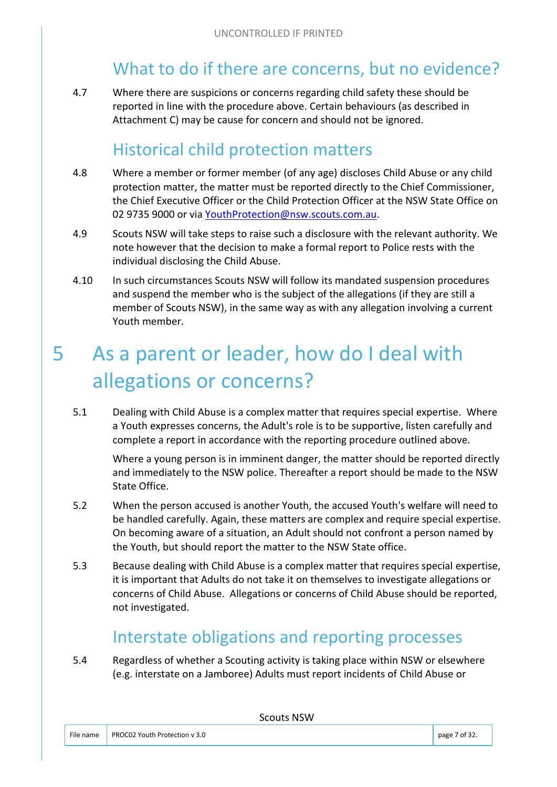#### What to do if there are concerns, but no evidence?

4.7 Where there are suspicions or concerns regarding child safety these should be reported in line with the procedure above. Certain behaviours (as described in Attachment C) may be cause for concern and should not be ignored.

#### Historical child protection matters

- 4.8 Where a member or former member (of any age) discloses Child Abuse or any child protection matter, the matter must be reported directly to the Chief Commissioner, the Chief Executive Officer or the Child Protection Officer at the NSW State Office on 02 9735 9000 or via [YouthProtection@nsw.scouts.com.au.](mailto:YouthProtection@nsw.scouts.com.au)
- 4.9 Scouts NSW will take steps to raise such a disclosure with the relevant authority. We note however that the decision to make a formal report to Police rests with the individual disclosing the Child Abuse.
- 4.10 In such circumstances Scouts NSW will follow its mandated suspension procedures and suspend the member who is the subject of the allegations (if they are still a member of Scouts NSW), in the same way as with any allegation involving a current Youth member.

# 5 As a parent or leader, how do I deal with allegations or concerns?

5.1 Dealing with Child Abuse is a complex matter that requires special expertise. Where a Youth expresses concerns, the Adult's role is to be supportive, listen carefully and complete a report in accordance with the reporting procedure outlined above.

Where a young person is in imminent danger, the matter should be reported directly and immediately to the NSW police. Thereafter a report should be made to the NSW State Office.

- 5.2 When the person accused is another Youth, the accused Youth's welfare will need to be handled carefully. Again, these matters are complex and require special expertise. On becoming aware of a situation, an Adult should not confront a person named by the Youth, but should report the matter to the NSW State office.
- 5.3 Because dealing with Child Abuse is a complex matter that requires special expertise, it is important that Adults do not take it on themselves to investigate allegations or concerns of Child Abuse. Allegations or concerns of Child Abuse should be reported, not investigated.

#### Interstate obligations and reporting processes

5.4 Regardless of whether a Scouting activity is taking place within NSW or elsewhere (e.g. interstate on a Jamboree) Adults must report incidents of Child Abuse or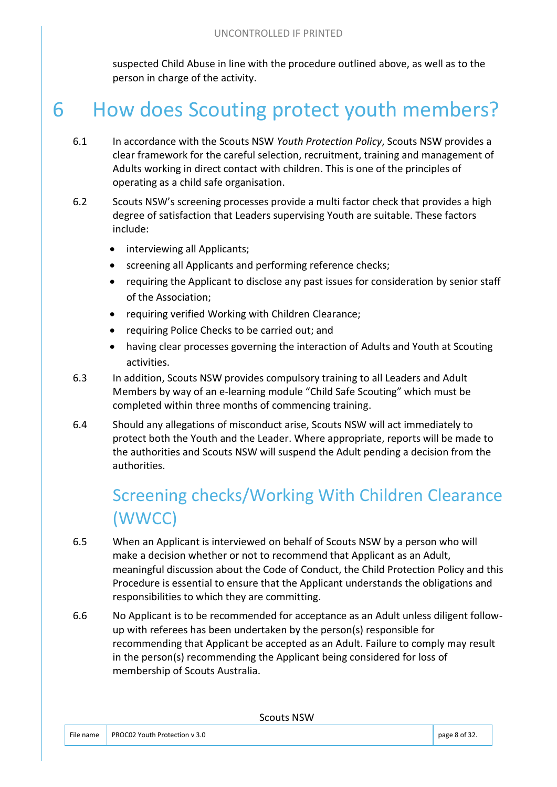suspected Child Abuse in line with the procedure outlined above, as well as to the person in charge of the activity.

# 6 How does Scouting protect youth members?

- 6.1 In accordance with the Scouts NSW *Youth Protection Policy*, Scouts NSW provides a clear framework for the careful selection, recruitment, training and management of Adults working in direct contact with children. This is one of the principles of operating as a child safe organisation.
- 6.2 Scouts NSW's screening processes provide a multi factor check that provides a high degree of satisfaction that Leaders supervising Youth are suitable. These factors include:
	- interviewing all Applicants;
	- screening all Applicants and performing reference checks;
	- requiring the Applicant to disclose any past issues for consideration by senior staff of the Association;
	- requiring verified Working with Children Clearance;
	- requiring Police Checks to be carried out; and
	- having clear processes governing the interaction of Adults and Youth at Scouting activities.
- 6.3 In addition, Scouts NSW provides compulsory training to all Leaders and Adult Members by way of an e-learning module "Child Safe Scouting" which must be completed within three months of commencing training.
- 6.4 Should any allegations of misconduct arise, Scouts NSW will act immediately to protect both the Youth and the Leader. Where appropriate, reports will be made to the authorities and Scouts NSW will suspend the Adult pending a decision from the authorities.

# Screening checks/Working With Children Clearance (WWCC)

- 6.5 When an Applicant is interviewed on behalf of Scouts NSW by a person who will make a decision whether or not to recommend that Applicant as an Adult, meaningful discussion about the Code of Conduct, the Child Protection Policy and this Procedure is essential to ensure that the Applicant understands the obligations and responsibilities to which they are committing.
- 6.6 No Applicant is to be recommended for acceptance as an Adult unless diligent followup with referees has been undertaken by the person(s) responsible for recommending that Applicant be accepted as an Adult. Failure to comply may result in the person(s) recommending the Applicant being considered for loss of membership of Scouts Australia.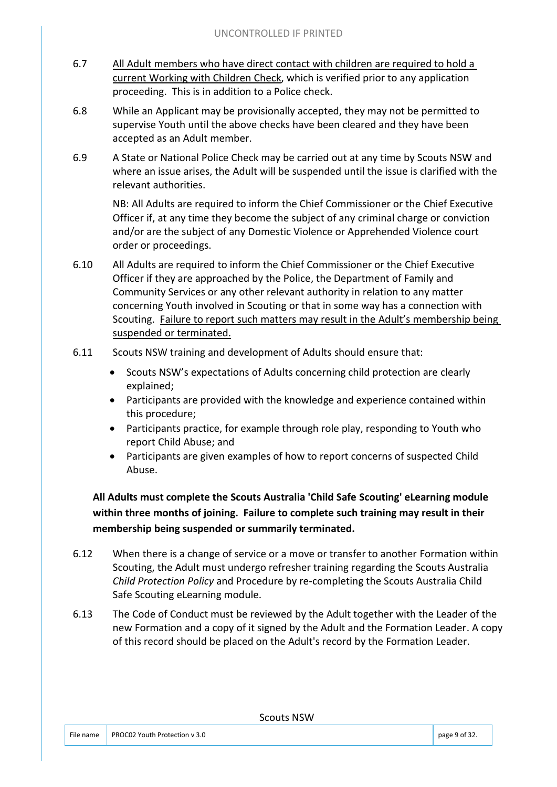- 6.7 All Adult members who have direct contact with children are required to hold a current Working with Children Check, which is verified prior to any application proceeding. This is in addition to a Police check.
- 6.8 While an Applicant may be provisionally accepted, they may not be permitted to supervise Youth until the above checks have been cleared and they have been accepted as an Adult member.
- 6.9 A State or National Police Check may be carried out at any time by Scouts NSW and where an issue arises, the Adult will be suspended until the issue is clarified with the relevant authorities.

NB: All Adults are required to inform the Chief Commissioner or the Chief Executive Officer if, at any time they become the subject of any criminal charge or conviction and/or are the subject of any Domestic Violence or Apprehended Violence court order or proceedings.

- 6.10 All Adults are required to inform the Chief Commissioner or the Chief Executive Officer if they are approached by the Police, the Department of Family and Community Services or any other relevant authority in relation to any matter concerning Youth involved in Scouting or that in some way has a connection with Scouting. Failure to report such matters may result in the Adult's membership being suspended or terminated.
- 6.11 Scouts NSW training and development of Adults should ensure that:
	- Scouts NSW's expectations of Adults concerning child protection are clearly explained;
	- Participants are provided with the knowledge and experience contained within this procedure;
	- Participants practice, for example through role play, responding to Youth who report Child Abuse; and
	- Participants are given examples of how to report concerns of suspected Child Abuse.

**All Adults must complete the Scouts Australia 'Child Safe Scouting' eLearning module within three months of joining. Failure to complete such training may result in their membership being suspended or summarily terminated.** 

- 6.12 When there is a change of service or a move or transfer to another Formation within Scouting, the Adult must undergo refresher training regarding the Scouts Australia *Child Protection Policy* and Procedure by re-completing the Scouts Australia Child Safe Scouting eLearning module.
- 6.13 The Code of Conduct must be reviewed by the Adult together with the Leader of the new Formation and a copy of it signed by the Adult and the Formation Leader. A copy of this record should be placed on the Adult's record by the Formation Leader.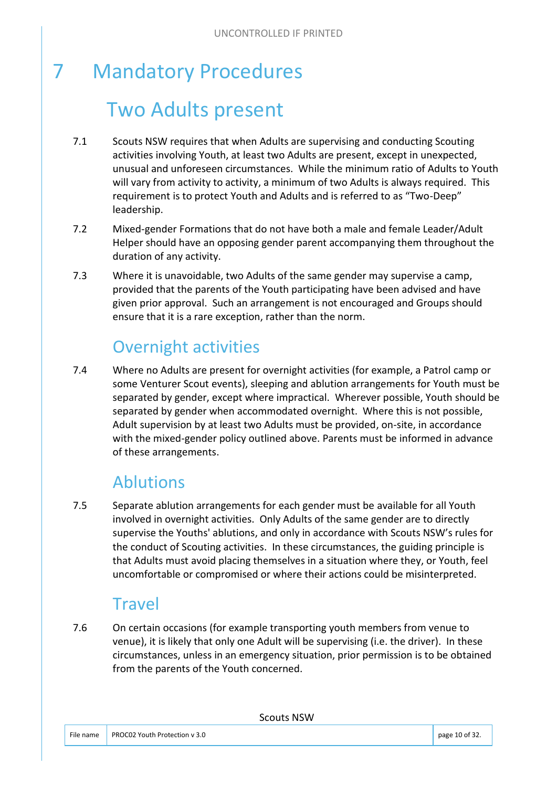# 7 Mandatory Procedures Two Adults present

- 7.1 Scouts NSW requires that when Adults are supervising and conducting Scouting activities involving Youth, at least two Adults are present, except in unexpected, unusual and unforeseen circumstances. While the minimum ratio of Adults to Youth will vary from activity to activity, a minimum of two Adults is always required. This requirement is to protect Youth and Adults and is referred to as "Two-Deep" leadership.
- 7.2 Mixed-gender Formations that do not have both a male and female Leader/Adult Helper should have an opposing gender parent accompanying them throughout the duration of any activity.
- 7.3 Where it is unavoidable, two Adults of the same gender may supervise a camp, provided that the parents of the Youth participating have been advised and have given prior approval. Such an arrangement is not encouraged and Groups should ensure that it is a rare exception, rather than the norm.

## Overnight activities

7.4 Where no Adults are present for overnight activities (for example, a Patrol camp or some Venturer Scout events), sleeping and ablution arrangements for Youth must be separated by gender, except where impractical. Wherever possible, Youth should be separated by gender when accommodated overnight. Where this is not possible, Adult supervision by at least two Adults must be provided, on-site, in accordance with the mixed-gender policy outlined above. Parents must be informed in advance of these arrangements.

#### Ablutions

7.5 Separate ablution arrangements for each gender must be available for all Youth involved in overnight activities. Only Adults of the same gender are to directly supervise the Youths' ablutions, and only in accordance with Scouts NSW's rules for the conduct of Scouting activities. In these circumstances, the guiding principle is that Adults must avoid placing themselves in a situation where they, or Youth, feel uncomfortable or compromised or where their actions could be misinterpreted.

#### **Travel**

7.6 On certain occasions (for example transporting youth members from venue to venue), it is likely that only one Adult will be supervising (i.e. the driver). In these circumstances, unless in an emergency situation, prior permission is to be obtained from the parents of the Youth concerned.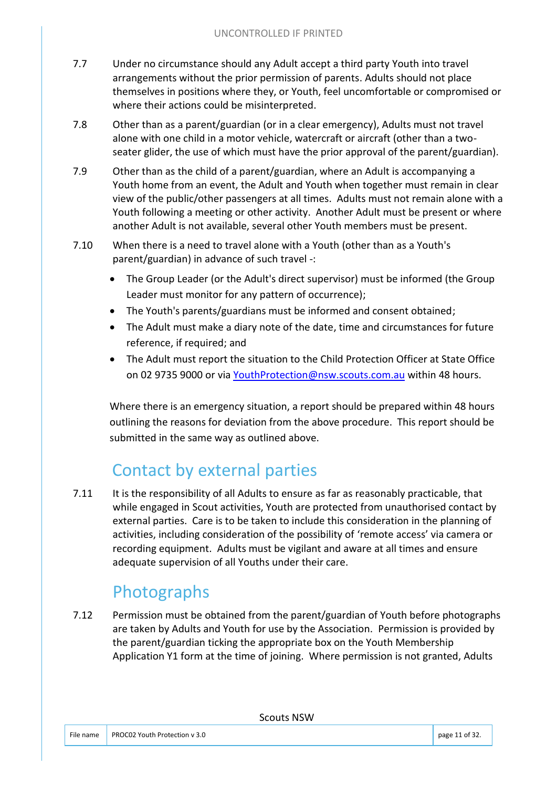- 7.7 Under no circumstance should any Adult accept a third party Youth into travel arrangements without the prior permission of parents. Adults should not place themselves in positions where they, or Youth, feel uncomfortable or compromised or where their actions could be misinterpreted.
- 7.8 Other than as a parent/guardian (or in a clear emergency), Adults must not travel alone with one child in a motor vehicle, watercraft or aircraft (other than a twoseater glider, the use of which must have the prior approval of the parent/guardian).
- 7.9 Other than as the child of a parent/guardian, where an Adult is accompanying a Youth home from an event, the Adult and Youth when together must remain in clear view of the public/other passengers at all times. Adults must not remain alone with a Youth following a meeting or other activity. Another Adult must be present or where another Adult is not available, several other Youth members must be present.
- 7.10 When there is a need to travel alone with a Youth (other than as a Youth's parent/guardian) in advance of such travel -:
	- The Group Leader (or the Adult's direct supervisor) must be informed (the Group Leader must monitor for any pattern of occurrence);
	- The Youth's parents/guardians must be informed and consent obtained;
	- The Adult must make a diary note of the date, time and circumstances for future reference, if required; and
	- The Adult must report the situation to the Child Protection Officer at State Office on 02 9735 9000 or via [YouthProtection@nsw.scouts.com.au](mailto:YouthProtection@nsw.scouts.com.au) within 48 hours.

Where there is an emergency situation, a report should be prepared within 48 hours outlining the reasons for deviation from the above procedure. This report should be submitted in the same way as outlined above.

## Contact by external parties

7.11 It is the responsibility of all Adults to ensure as far as reasonably practicable, that while engaged in Scout activities, Youth are protected from unauthorised contact by external parties. Care is to be taken to include this consideration in the planning of activities, including consideration of the possibility of 'remote access' via camera or recording equipment. Adults must be vigilant and aware at all times and ensure adequate supervision of all Youths under their care.

## Photographs

7.12 Permission must be obtained from the parent/guardian of Youth before photographs are taken by Adults and Youth for use by the Association. Permission is provided by the parent/guardian ticking the appropriate box on the Youth Membership Application Y1 form at the time of joining. Where permission is not granted, Adults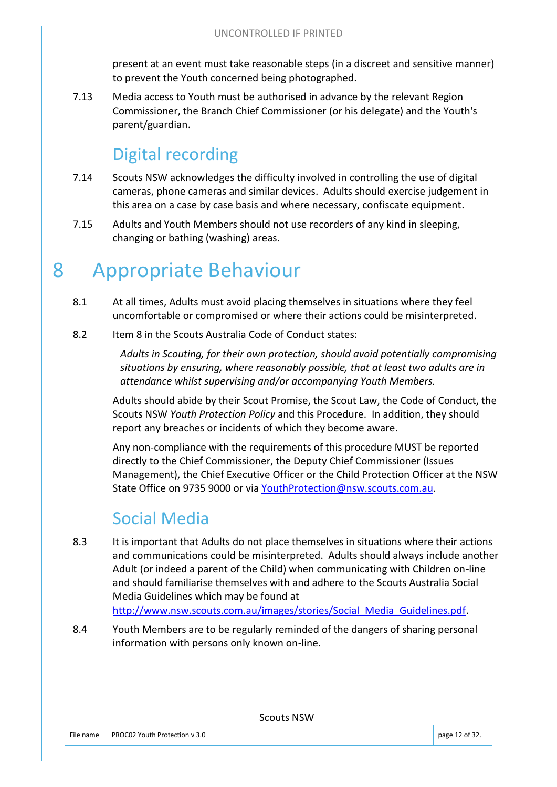present at an event must take reasonable steps (in a discreet and sensitive manner) to prevent the Youth concerned being photographed.

7.13 Media access to Youth must be authorised in advance by the relevant Region Commissioner, the Branch Chief Commissioner (or his delegate) and the Youth's parent/guardian.

#### Digital recording

- 7.14 Scouts NSW acknowledges the difficulty involved in controlling the use of digital cameras, phone cameras and similar devices. Adults should exercise judgement in this area on a case by case basis and where necessary, confiscate equipment.
- 7.15 Adults and Youth Members should not use recorders of any kind in sleeping, changing or bathing (washing) areas.

# 8 Appropriate Behaviour

- 8.1 At all times, Adults must avoid placing themselves in situations where they feel uncomfortable or compromised or where their actions could be misinterpreted.
- 8.2 Item 8 in the Scouts Australia Code of Conduct states:

*Adults in Scouting, for their own protection, should avoid potentially compromising situations by ensuring, where reasonably possible, that at least two adults are in attendance whilst supervising and/or accompanying Youth Members.* 

Adults should abide by their Scout Promise, the Scout Law, the Code of Conduct, the Scouts NSW *Youth Protection Policy* and this Procedure. In addition, they should report any breaches or incidents of which they become aware.

Any non-compliance with the requirements of this procedure MUST be reported directly to the Chief Commissioner, the Deputy Chief Commissioner (Issues Management), the Chief Executive Officer or the Child Protection Officer at the NSW State Office on 9735 9000 or via [YouthProtection@nsw.scouts.com.au.](mailto:YouthProtection@nsw.scouts.com.au)

#### Social Media

- 8.3 It is important that Adults do not place themselves in situations where their actions and communications could be misinterpreted. Adults should always include another Adult (or indeed a parent of the Child) when communicating with Children on-line and should familiarise themselves with and adhere to the Scouts Australia Social Media Guidelines which may be found at http://www.nsw.scouts.com.au/images/stories/Social Media Guidelines.pdf.
- 8.4 Youth Members are to be regularly reminded of the dangers of sharing personal information with persons only known on-line.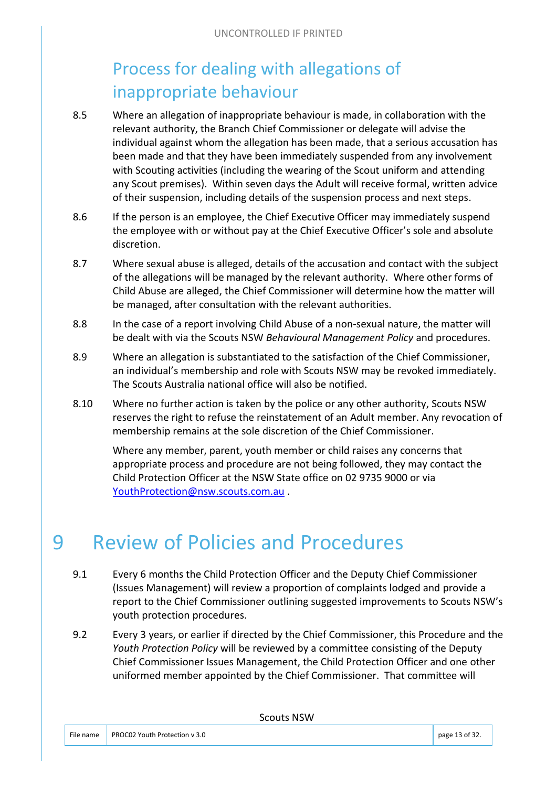## Process for dealing with allegations of inappropriate behaviour

- 8.5 Where an allegation of inappropriate behaviour is made, in collaboration with the relevant authority, the Branch Chief Commissioner or delegate will advise the individual against whom the allegation has been made, that a serious accusation has been made and that they have been immediately suspended from any involvement with Scouting activities (including the wearing of the Scout uniform and attending any Scout premises). Within seven days the Adult will receive formal, written advice of their suspension, including details of the suspension process and next steps.
- 8.6 If the person is an employee, the Chief Executive Officer may immediately suspend the employee with or without pay at the Chief Executive Officer's sole and absolute discretion.
- 8.7 Where sexual abuse is alleged, details of the accusation and contact with the subject of the allegations will be managed by the relevant authority. Where other forms of Child Abuse are alleged, the Chief Commissioner will determine how the matter will be managed, after consultation with the relevant authorities.
- 8.8 In the case of a report involving Child Abuse of a non-sexual nature, the matter will be dealt with via the Scouts NSW *Behavioural Management Policy* and procedures.
- 8.9 Where an allegation is substantiated to the satisfaction of the Chief Commissioner, an individual's membership and role with Scouts NSW may be revoked immediately. The Scouts Australia national office will also be notified.
- 8.10 Where no further action is taken by the police or any other authority, Scouts NSW reserves the right to refuse the reinstatement of an Adult member. Any revocation of membership remains at the sole discretion of the Chief Commissioner.

Where any member, parent, youth member or child raises any concerns that appropriate process and procedure are not being followed, they may contact the Child Protection Officer at the NSW State office on 02 9735 9000 or via [YouthProtection@nsw.scouts.com.au](mailto:YouthProtection@nsw.scouts.com.au) .

# 9 Review of Policies and Procedures

- 9.1 Every 6 months the Child Protection Officer and the Deputy Chief Commissioner (Issues Management) will review a proportion of complaints lodged and provide a report to the Chief Commissioner outlining suggested improvements to Scouts NSW's youth protection procedures.
- 9.2 Every 3 years, or earlier if directed by the Chief Commissioner, this Procedure and the *Youth Protection Policy* will be reviewed by a committee consisting of the Deputy Chief Commissioner Issues Management, the Child Protection Officer and one other uniformed member appointed by the Chief Commissioner. That committee will

| File name |                                           |                |
|-----------|-------------------------------------------|----------------|
|           | $\parallel$ PROC02 Youth Protection v 3.0 | page 13 of 32. |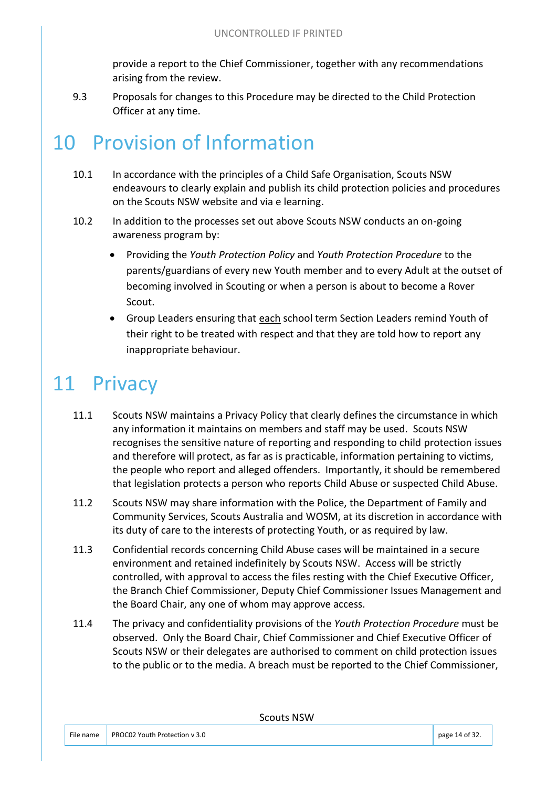provide a report to the Chief Commissioner, together with any recommendations arising from the review.

9.3 Proposals for changes to this Procedure may be directed to the Child Protection Officer at any time.

# 10 Provision of Information

- 10.1 In accordance with the principles of a Child Safe Organisation, Scouts NSW endeavours to clearly explain and publish its child protection policies and procedures on the Scouts NSW website and via e learning.
- 10.2 In addition to the processes set out above Scouts NSW conducts an on-going awareness program by:
	- Providing the *Youth Protection Policy* and *Youth Protection Procedure* to the parents/guardians of every new Youth member and to every Adult at the outset of becoming involved in Scouting or when a person is about to become a Rover Scout.
	- Group Leaders ensuring that each school term Section Leaders remind Youth of their right to be treated with respect and that they are told how to report any inappropriate behaviour.

# 11 Privacy

- 11.1 Scouts NSW maintains a Privacy Policy that clearly defines the circumstance in which any information it maintains on members and staff may be used. Scouts NSW recognises the sensitive nature of reporting and responding to child protection issues and therefore will protect, as far as is practicable, information pertaining to victims, the people who report and alleged offenders. Importantly, it should be remembered that legislation protects a person who reports Child Abuse or suspected Child Abuse.
- 11.2 Scouts NSW may share information with the Police, the Department of Family and Community Services, Scouts Australia and WOSM, at its discretion in accordance with its duty of care to the interests of protecting Youth, or as required by law.
- 11.3 Confidential records concerning Child Abuse cases will be maintained in a secure environment and retained indefinitely by Scouts NSW. Access will be strictly controlled, with approval to access the files resting with the Chief Executive Officer, the Branch Chief Commissioner, Deputy Chief Commissioner Issues Management and the Board Chair, any one of whom may approve access.
- 11.4 The privacy and confidentiality provisions of the *Youth Protection Procedure* must be observed. Only the Board Chair, Chief Commissioner and Chief Executive Officer of Scouts NSW or their delegates are authorised to comment on child protection issues to the public or to the media. A breach must be reported to the Chief Commissioner,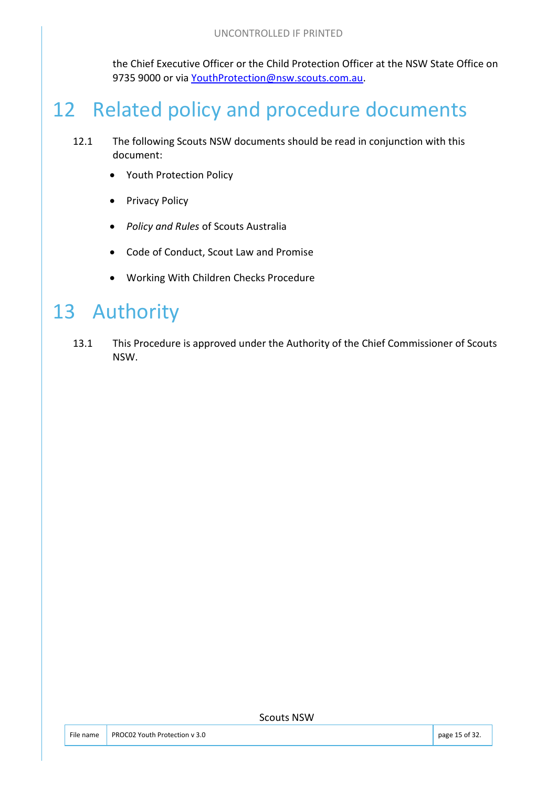the Chief Executive Officer or the Child Protection Officer at the NSW State Office on 9735 9000 or via [YouthProtection@nsw.scouts.com.au.](mailto:ChildProtection@nsw.scouts.com.au)

# 12 Related policy and procedure documents

- 12.1 The following Scouts NSW documents should be read in conjunction with this document:
	- Youth Protection Policy
	- Privacy Policy
	- *Policy and Rules* of Scouts Australia
	- Code of Conduct, Scout Law and Promise
	- Working With Children Checks Procedure

# 13 Authority

13.1 This Procedure is approved under the Authority of the Chief Commissioner of Scouts NSW.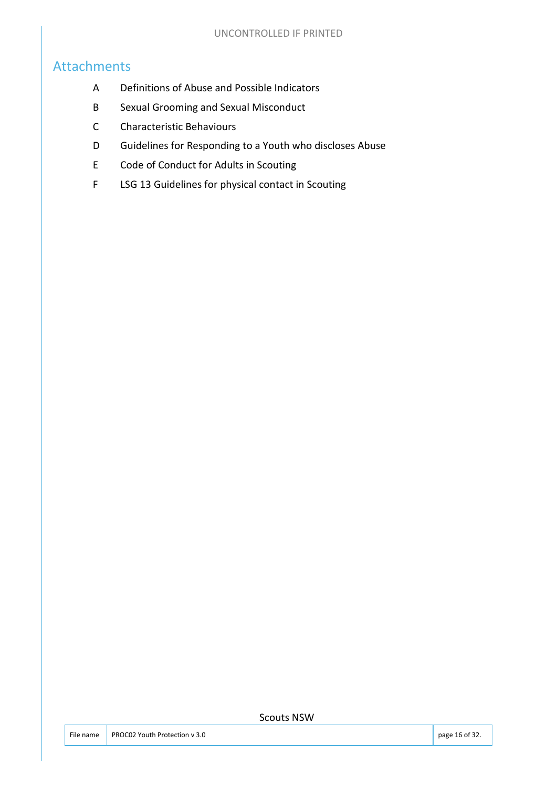#### Attachments

- A Definitions of Abuse and Possible Indicators
- B Sexual Grooming and Sexual Misconduct
- C Characteristic Behaviours
- D Guidelines for Responding to a Youth who discloses Abuse
- E Code of Conduct for Adults in Scouting
- F LSG 13 Guidelines for physical contact in Scouting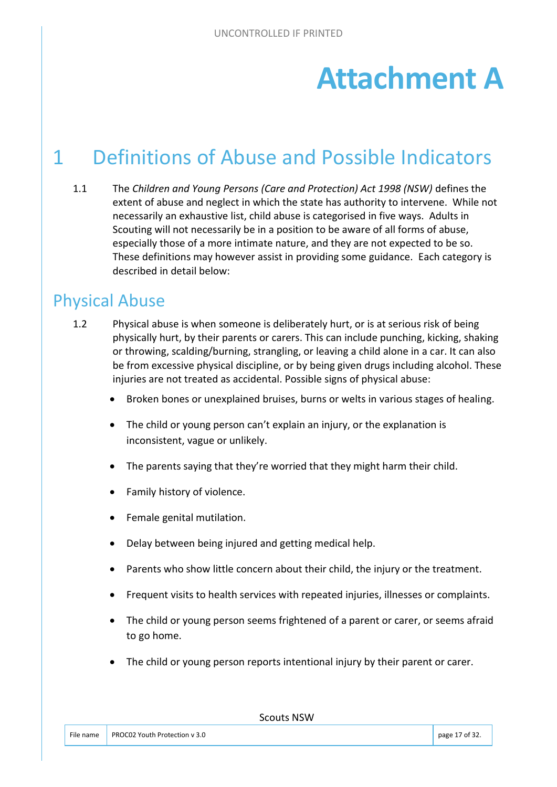# **Attachment A**

# 1 Definitions of Abuse and Possible Indicators

1.1 The *Children and Young Persons (Care and Protection) Act 1998 (NSW)* defines the extent of abuse and neglect in which the state has authority to intervene. While not necessarily an exhaustive list, child abuse is categorised in five ways. Adults in Scouting will not necessarily be in a position to be aware of all forms of abuse, especially those of a more intimate nature, and they are not expected to be so. These definitions may however assist in providing some guidance. Each category is described in detail below:

#### Physical Abuse

- 1.2 Physical abuse is when someone is deliberately hurt, or is at serious risk of being physically hurt, by their parents or carers. This can include punching, kicking, shaking or throwing, scalding/burning, strangling, or leaving a child alone in a car. It can also be from excessive physical discipline, or by being given drugs including alcohol. These injuries are not treated as accidental. Possible signs of physical abuse:
	- Broken bones or unexplained bruises, burns or welts in various stages of healing.
	- The child or young person can't explain an injury, or the explanation is inconsistent, vague or unlikely.
	- The parents saying that they're worried that they might harm their child.
	- Family history of violence.
	- Female genital mutilation.
	- Delay between being injured and getting medical help.
	- Parents who show little concern about their child, the injury or the treatment.
	- Frequent visits to health services with repeated injuries, illnesses or complaints.
	- The child or young person seems frightened of a parent or carer, or seems afraid to go home.
	- The child or young person reports intentional injury by their parent or carer.

File name PROC02 Youth Protection v 3.0 page 17 of 32.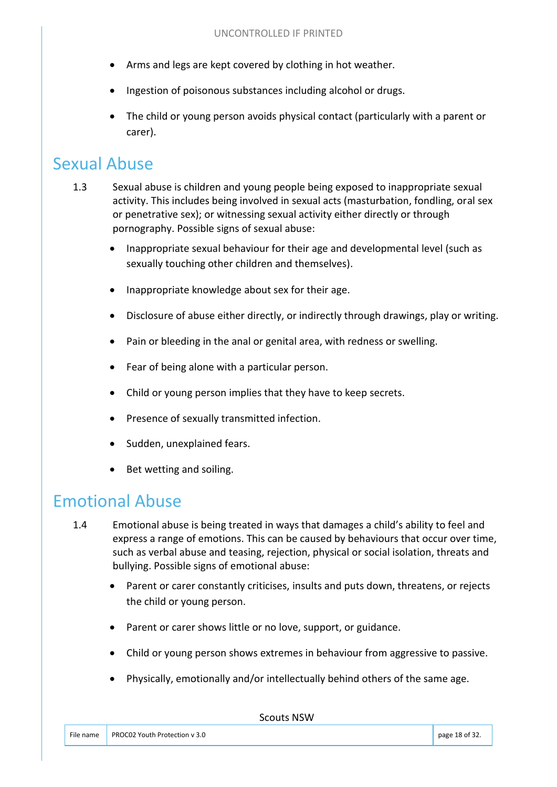- Arms and legs are kept covered by clothing in hot weather.
- Ingestion of poisonous substances including alcohol or drugs.
- The child or young person avoids physical contact (particularly with a parent or carer).

#### Sexual Abuse

- 1.3 Sexual abuse is children and young people being exposed to inappropriate sexual activity. This includes being involved in sexual acts (masturbation, fondling, oral sex or penetrative sex); or witnessing sexual activity either directly or through pornography. Possible signs of sexual abuse:
	- Inappropriate sexual behaviour for their age and developmental level (such as sexually touching other children and themselves).
	- Inappropriate knowledge about sex for their age.
	- Disclosure of abuse either directly, or indirectly through drawings, play or writing.
	- Pain or bleeding in the anal or genital area, with redness or swelling.
	- Fear of being alone with a particular person.
	- Child or young person implies that they have to keep secrets.
	- Presence of sexually transmitted infection.
	- Sudden, unexplained fears.
	- Bet wetting and soiling.

#### Emotional Abuse

- 1.4 Emotional abuse is being treated in ways that damages a child's ability to feel and express a range of emotions. This can be caused by behaviours that occur over time, such as verbal abuse and teasing, rejection, physical or social isolation, threats and bullying. Possible signs of emotional abuse:
	- Parent or carer constantly criticises, insults and puts down, threatens, or rejects the child or young person.
	- Parent or carer shows little or no love, support, or guidance.
	- Child or young person shows extremes in behaviour from aggressive to passive.
	- Physically, emotionally and/or intellectually behind others of the same age.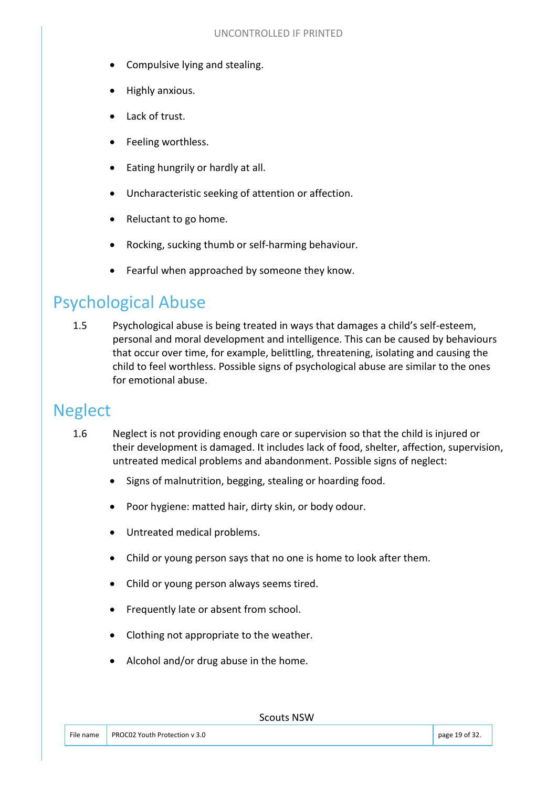- Compulsive lying and stealing.
- Highly anxious.
- Lack of trust.
- Feeling worthless.
- Eating hungrily or hardly at all.
- Uncharacteristic seeking of attention or affection.
- Reluctant to go home.
- Rocking, sucking thumb or self-harming behaviour.
- Fearful when approached by someone they know.

#### Psychological Abuse

1.5 Psychological abuse is being treated in ways that damages a child's self-esteem, personal and moral development and intelligence. This can be caused by behaviours that occur over time, for example, belittling, threatening, isolating and causing the child to feel worthless. Possible signs of psychological abuse are similar to the ones for emotional abuse.

#### Neglect

- 1.6 Neglect is not providing enough care or supervision so that the child is injured or their development is damaged. It includes lack of food, shelter, affection, supervision, untreated medical problems and abandonment. Possible signs of neglect:
	- Signs of malnutrition, begging, stealing or hoarding food.
	- Poor hygiene: matted hair, dirty skin, or body odour.
	- Untreated medical problems.
	- Child or young person says that no one is home to look after them.
	- Child or young person always seems tired.
	- Frequently late or absent from school.
	- Clothing not appropriate to the weather.
	- Alcohol and/or drug abuse in the home.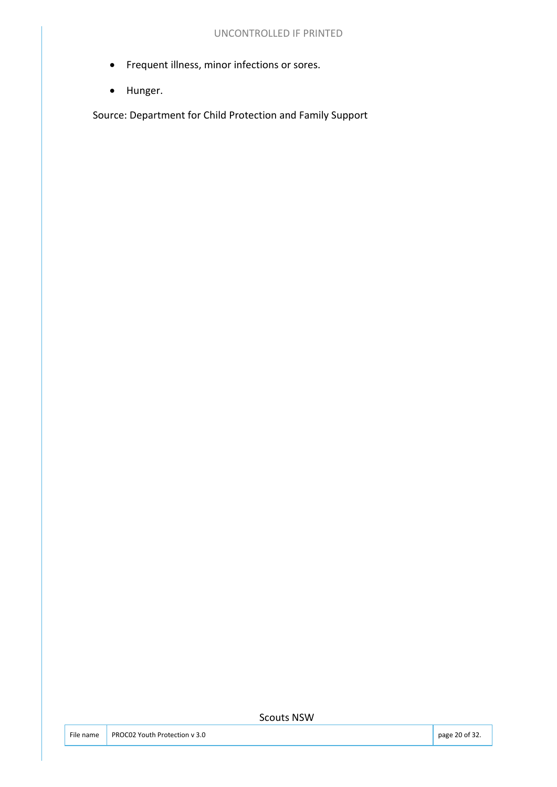- Frequent illness, minor infections or sores.
- Hunger.

Source: Department for Child Protection and Family Support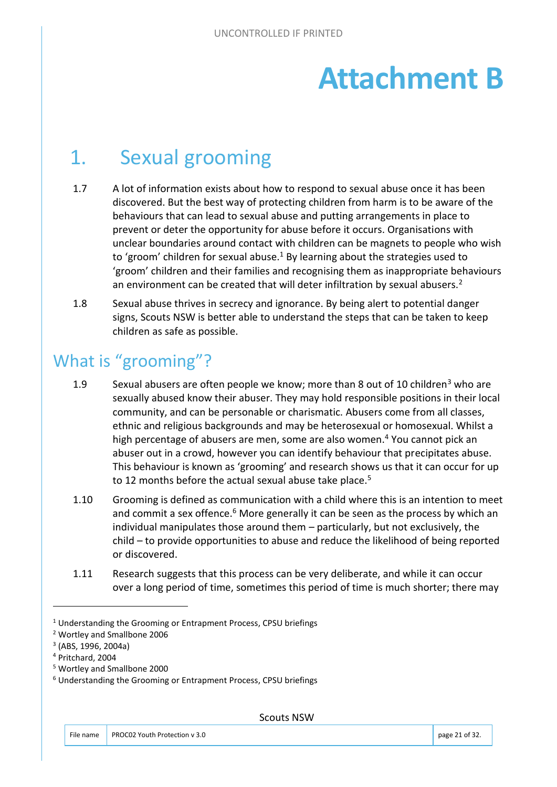# **Attachment B**

# 1. Sexual grooming

- 1.7 A lot of information exists about how to respond to sexual abuse once it has been discovered. But the best way of protecting children from harm is to be aware of the behaviours that can lead to sexual abuse and putting arrangements in place to prevent or deter the opportunity for abuse before it occurs. Organisations with unclear boundaries around contact with children can be magnets to people who wish to 'groom' children for sexual abuse.<sup>1</sup> By learning about the strategies used to 'groom' children and their families and recognising them as inappropriate behaviours an environment can be created that will deter infiltration by sexual abusers.<sup>2</sup>
- 1.8 Sexual abuse thrives in secrecy and ignorance. By being alert to potential danger signs, Scouts NSW is better able to understand the steps that can be taken to keep children as safe as possible.

## What is "grooming"?

- 1.9 Sexual abusers are often people we know; more than 8 out of 10 children<sup>3</sup> who are sexually abused know their abuser. They may hold responsible positions in their local community, and can be personable or charismatic. Abusers come from all classes, ethnic and religious backgrounds and may be heterosexual or homosexual. Whilst a high percentage of abusers are men, some are also women.<sup>4</sup> You cannot pick an abuser out in a crowd, however you can identify behaviour that precipitates abuse. This behaviour is known as 'grooming' and research shows us that it can occur for up to 12 months before the actual sexual abuse take place.<sup>5</sup>
- 1.10 Grooming is defined as communication with a child where this is an intention to meet and commit a sex offence.<sup>6</sup> More generally it can be seen as the process by which an individual manipulates those around them – particularly, but not exclusively, the child – to provide opportunities to abuse and reduce the likelihood of being reported or discovered.
- 1.11 Research suggests that this process can be very deliberate, and while it can occur over a long period of time, sometimes this period of time is much shorter; there may

2 Wortley and Smallbone 2006

<sup>&</sup>lt;sup>1</sup> Understanding the Grooming or Entrapment Process, CPSU briefings

<sup>3</sup> (ABS, 1996, 2004a)

<sup>4</sup> Pritchard, 2004

<sup>5</sup> Wortley and Smallbone 2000

<sup>6</sup> Understanding the Grooming or Entrapment Process, CPSU briefings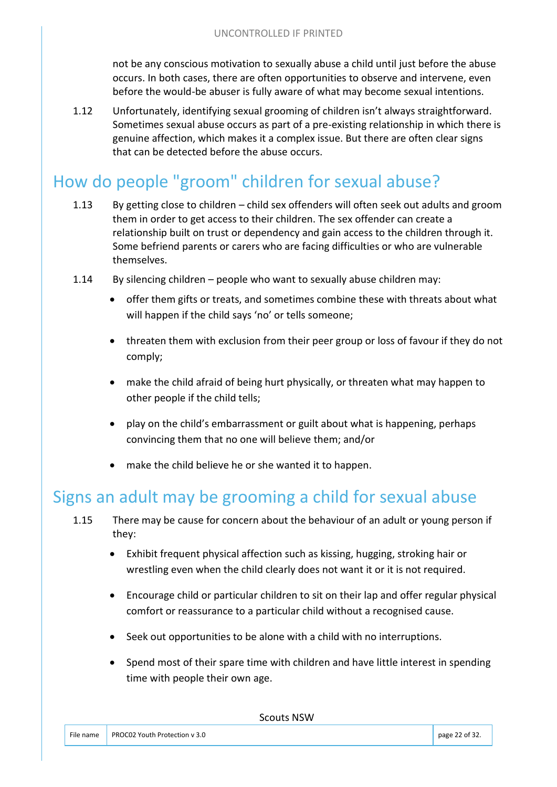not be any conscious motivation to sexually abuse a child until just before the abuse occurs. In both cases, there are often opportunities to observe and intervene, even before the would-be abuser is fully aware of what may become sexual intentions.

1.12 Unfortunately, identifying sexual grooming of children isn't always straightforward. Sometimes sexual abuse occurs as part of a pre-existing relationship in which there is genuine affection, which makes it a complex issue. But there are often clear signs that can be detected before the abuse occurs.

## How do people "groom" children for sexual abuse?

- 1.13 By getting close to children child sex offenders will often seek out adults and groom them in order to get access to their children. The sex offender can create a relationship built on trust or dependency and gain access to the children through it. Some befriend parents or carers who are facing difficulties or who are vulnerable themselves.
- 1.14 By silencing children people who want to sexually abuse children may:
	- offer them gifts or treats, and sometimes combine these with threats about what will happen if the child says 'no' or tells someone;
	- threaten them with exclusion from their peer group or loss of favour if they do not comply;
	- make the child afraid of being hurt physically, or threaten what may happen to other people if the child tells;
	- play on the child's embarrassment or guilt about what is happening, perhaps convincing them that no one will believe them; and/or
	- make the child believe he or she wanted it to happen.

#### Signs an adult may be grooming a child for sexual abuse

- 1.15 There may be cause for concern about the behaviour of an adult or young person if they:
	- Exhibit frequent physical affection such as kissing, hugging, stroking hair or wrestling even when the child clearly does not want it or it is not required.
	- Encourage child or particular children to sit on their lap and offer regular physical comfort or reassurance to a particular child without a recognised cause.
	- Seek out opportunities to be alone with a child with no interruptions.
	- Spend most of their spare time with children and have little interest in spending time with people their own age.

Scouts NICIN

|           |                               | <b>JUULIS INJIV</b> |                |
|-----------|-------------------------------|---------------------|----------------|
|           |                               |                     |                |
| File name | PROC02 Youth Protection y 3.0 |                     | page 22 of 32. |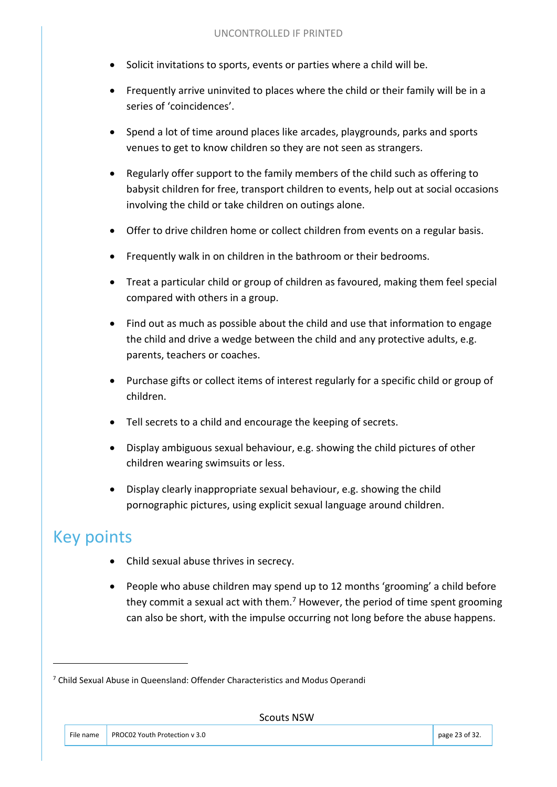- Solicit invitations to sports, events or parties where a child will be.
- Frequently arrive uninvited to places where the child or their family will be in a series of 'coincidences'.
- Spend a lot of time around places like arcades, playgrounds, parks and sports venues to get to know children so they are not seen as strangers.
- Regularly offer support to the family members of the child such as offering to babysit children for free, transport children to events, help out at social occasions involving the child or take children on outings alone.
- Offer to drive children home or collect children from events on a regular basis.
- Frequently walk in on children in the bathroom or their bedrooms.
- Treat a particular child or group of children as favoured, making them feel special compared with others in a group.
- Find out as much as possible about the child and use that information to engage the child and drive a wedge between the child and any protective adults, e.g. parents, teachers or coaches.
- Purchase gifts or collect items of interest regularly for a specific child or group of children.
- Tell secrets to a child and encourage the keeping of secrets.
- Display ambiguous sexual behaviour, e.g. showing the child pictures of other children wearing swimsuits or less.
- Display clearly inappropriate sexual behaviour, e.g. showing the child pornographic pictures, using explicit sexual language around children.

## Key points

- Child sexual abuse thrives in secrecy.
- People who abuse children may spend up to 12 months 'grooming' a child before they commit a sexual act with them.<sup>7</sup> However, the period of time spent grooming can also be short, with the impulse occurring not long before the abuse happens.

<sup>&</sup>lt;sup>7</sup> Child Sexual Abuse in Queensland: Offender Characteristics and Modus Operandi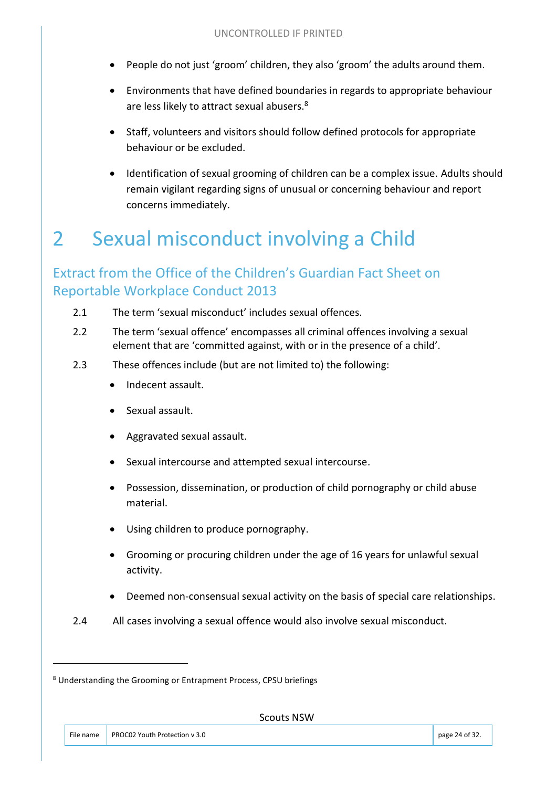- People do not just 'groom' children, they also 'groom' the adults around them.
- Environments that have defined boundaries in regards to appropriate behaviour are less likely to attract sexual abusers.<sup>8</sup>
- Staff, volunteers and visitors should follow defined protocols for appropriate behaviour or be excluded.
- Identification of sexual grooming of children can be a complex issue. Adults should remain vigilant regarding signs of unusual or concerning behaviour and report concerns immediately.

# 2 Sexual misconduct involving a Child

#### Extract from the Office of the Children's Guardian Fact Sheet on Reportable Workplace Conduct 2013

- 2.1 The term 'sexual misconduct' includes sexual offences.
- 2.2 The term 'sexual offence' encompasses all criminal offences involving a sexual element that are 'committed against, with or in the presence of a child'.
- 2.3 These offences include (but are not limited to) the following:
	- Indecent assault.
	- Sexual assault.
	- Aggravated sexual assault.
	- Sexual intercourse and attempted sexual intercourse.
	- Possession, dissemination, or production of child pornography or child abuse material.
	- Using children to produce pornography.
	- Grooming or procuring children under the age of 16 years for unlawful sexual activity.
	- Deemed non-consensual sexual activity on the basis of special care relationships.
- 2.4 All cases involving a sexual offence would also involve sexual misconduct.

<sup>8</sup> Understanding the Grooming or Entrapment Process, CPSU briefings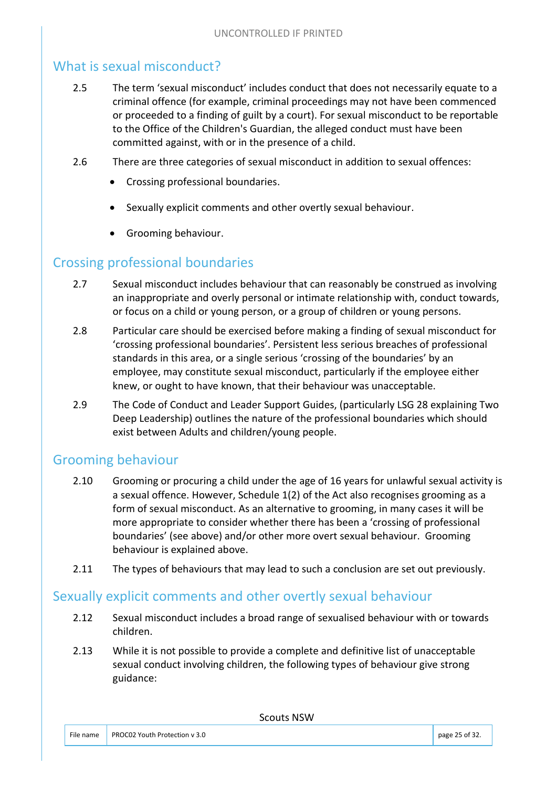#### What is sexual misconduct?

- 2.5 The term 'sexual misconduct' includes conduct that does not necessarily equate to a criminal offence (for example, criminal proceedings may not have been commenced or proceeded to a finding of guilt by a court). For sexual misconduct to be reportable to the Office of the Children's Guardian, the alleged conduct must have been committed against, with or in the presence of a child.
- 2.6 There are three categories of sexual misconduct in addition to sexual offences:
	- Crossing professional boundaries.
	- Sexually explicit comments and other overtly sexual behaviour.
	- Grooming behaviour.

#### Crossing professional boundaries

- 2.7 Sexual misconduct includes behaviour that can reasonably be construed as involving an inappropriate and overly personal or intimate relationship with, conduct towards, or focus on a child or young person, or a group of children or young persons.
- 2.8 Particular care should be exercised before making a finding of sexual misconduct for 'crossing professional boundaries'. Persistent less serious breaches of professional standards in this area, or a single serious 'crossing of the boundaries' by an employee, may constitute sexual misconduct, particularly if the employee either knew, or ought to have known, that their behaviour was unacceptable.
- 2.9 The Code of Conduct and Leader Support Guides, (particularly LSG 28 explaining Two Deep Leadership) outlines the nature of the professional boundaries which should exist between Adults and children/young people.

#### Grooming behaviour

- 2.10 Grooming or procuring a child under the age of 16 years for unlawful sexual activity is a sexual offence. However, Schedule 1(2) of the Act also recognises grooming as a form of sexual misconduct. As an alternative to grooming, in many cases it will be more appropriate to consider whether there has been a 'crossing of professional boundaries' (see above) and/or other more overt sexual behaviour. Grooming behaviour is explained above.
- 2.11 The types of behaviours that may lead to such a conclusion are set out previously.

#### Sexually explicit comments and other overtly sexual behaviour

- 2.12 Sexual misconduct includes a broad range of sexualised behaviour with or towards children.
- 2.13 While it is not possible to provide a complete and definitive list of unacceptable sexual conduct involving children, the following types of behaviour give strong guidance: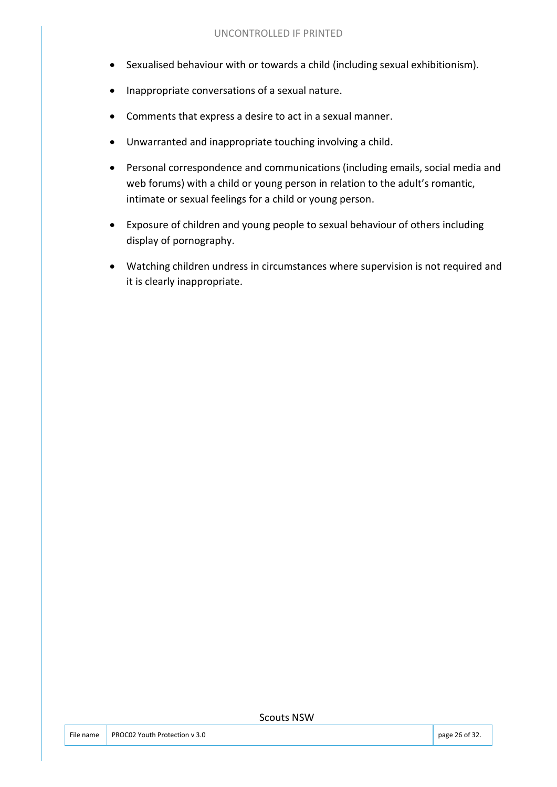- Sexualised behaviour with or towards a child (including sexual exhibitionism).
- Inappropriate conversations of a sexual nature.
- Comments that express a desire to act in a sexual manner.
- Unwarranted and inappropriate touching involving a child.
- Personal correspondence and communications (including emails, social media and web forums) with a child or young person in relation to the adult's romantic, intimate or sexual feelings for a child or young person.
- Exposure of children and young people to sexual behaviour of others including display of pornography.
- Watching children undress in circumstances where supervision is not required and it is clearly inappropriate.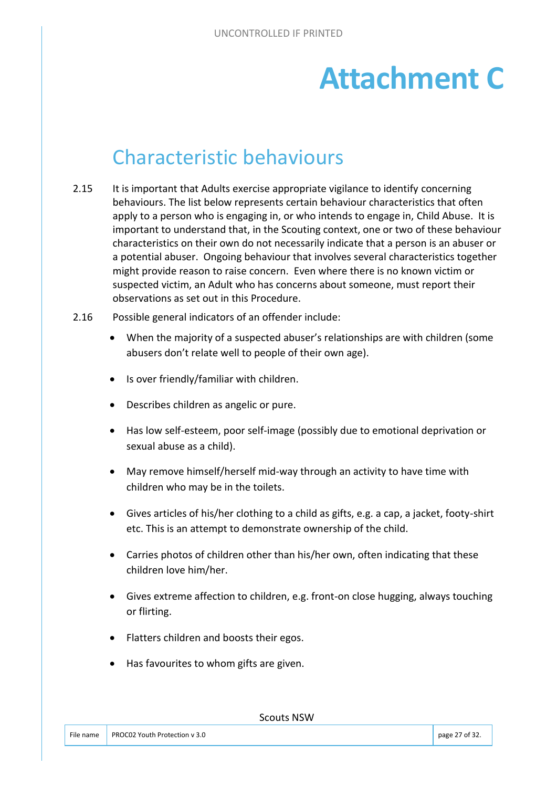# **Attachment C**

# Characteristic behaviours

- 2.15 It is important that Adults exercise appropriate vigilance to identify concerning behaviours. The list below represents certain behaviour characteristics that often apply to a person who is engaging in, or who intends to engage in, Child Abuse. It is important to understand that, in the Scouting context, one or two of these behaviour characteristics on their own do not necessarily indicate that a person is an abuser or a potential abuser. Ongoing behaviour that involves several characteristics together might provide reason to raise concern. Even where there is no known victim or suspected victim, an Adult who has concerns about someone, must report their observations as set out in this Procedure.
- 2.16 Possible general indicators of an offender include:
	- When the majority of a suspected abuser's relationships are with children (some abusers don't relate well to people of their own age).
	- Is over friendly/familiar with children.
	- Describes children as angelic or pure.
	- Has low self-esteem, poor self-image (possibly due to emotional deprivation or sexual abuse as a child).
	- May remove himself/herself mid-way through an activity to have time with children who may be in the toilets.
	- Gives articles of his/her clothing to a child as gifts, e.g. a cap, a jacket, footy-shirt etc. This is an attempt to demonstrate ownership of the child.
	- Carries photos of children other than his/her own, often indicating that these children love him/her.
	- Gives extreme affection to children, e.g. front-on close hugging, always touching or flirting.
	- Flatters children and boosts their egos.
	- Has favourites to whom gifts are given.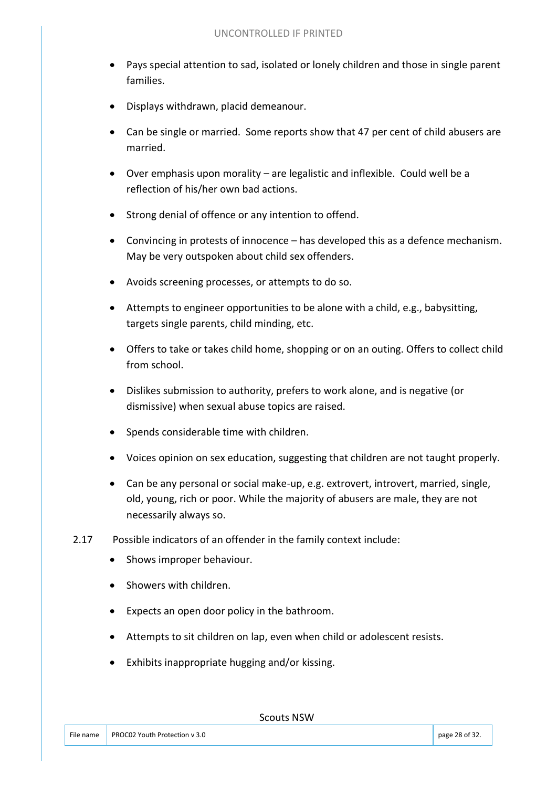- Pays special attention to sad, isolated or lonely children and those in single parent families.
- Displays withdrawn, placid demeanour.
- Can be single or married. Some reports show that 47 per cent of child abusers are married.
- Over emphasis upon morality are legalistic and inflexible. Could well be a reflection of his/her own bad actions.
- Strong denial of offence or any intention to offend.
- Convincing in protests of innocence has developed this as a defence mechanism. May be very outspoken about child sex offenders.
- Avoids screening processes, or attempts to do so.
- Attempts to engineer opportunities to be alone with a child, e.g., babysitting, targets single parents, child minding, etc.
- Offers to take or takes child home, shopping or on an outing. Offers to collect child from school.
- Dislikes submission to authority, prefers to work alone, and is negative (or dismissive) when sexual abuse topics are raised.
- Spends considerable time with children.
- Voices opinion on sex education, suggesting that children are not taught properly.
- Can be any personal or social make-up, e.g. extrovert, introvert, married, single, old, young, rich or poor. While the majority of abusers are male, they are not necessarily always so.
- 2.17 Possible indicators of an offender in the family context include:
	- Shows improper behaviour.
	- Showers with children.
	- Expects an open door policy in the bathroom.
	- Attempts to sit children on lap, even when child or adolescent resists.
	- Exhibits inappropriate hugging and/or kissing.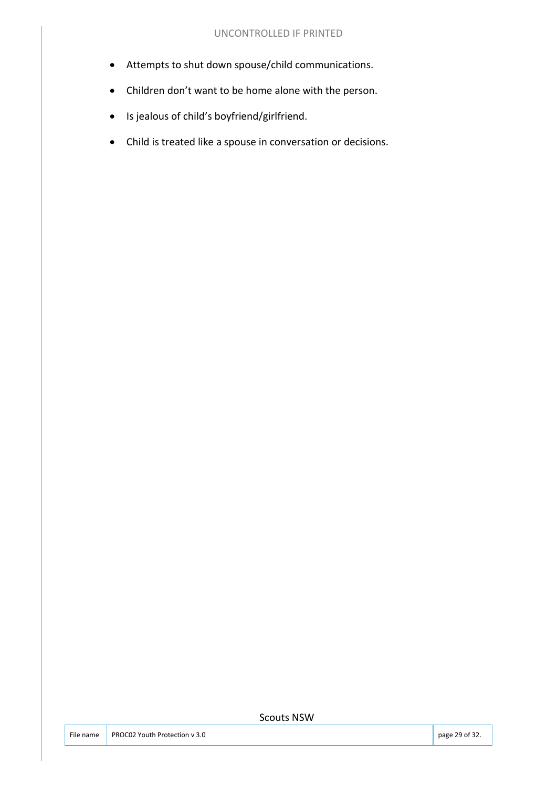- Attempts to shut down spouse/child communications.
- Children don't want to be home alone with the person.
- Is jealous of child's boyfriend/girlfriend.
- Child is treated like a spouse in conversation or decisions.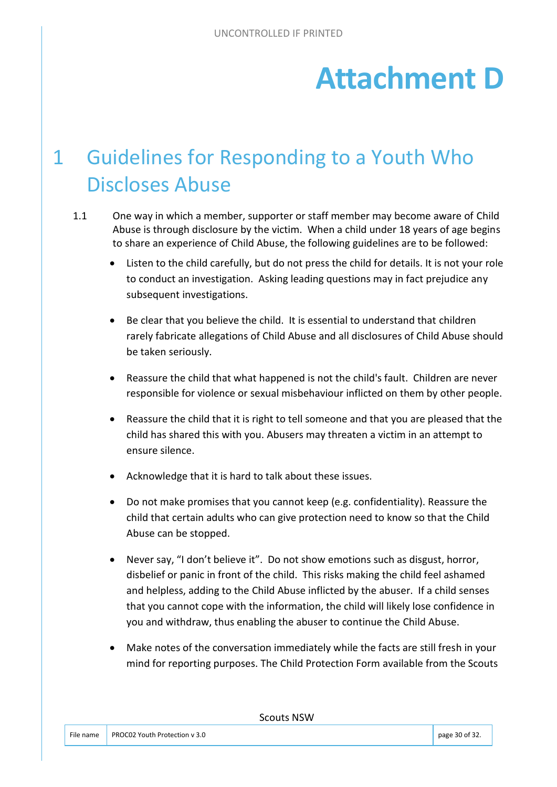# **Attachment D**

# 1 Guidelines for Responding to a Youth Who Discloses Abuse

- 1.1 One way in which a member, supporter or staff member may become aware of Child Abuse is through disclosure by the victim. When a child under 18 years of age begins to share an experience of Child Abuse, the following guidelines are to be followed:
	- Listen to the child carefully, but do not press the child for details. It is not your role to conduct an investigation. Asking leading questions may in fact prejudice any subsequent investigations.
	- Be clear that you believe the child. It is essential to understand that children rarely fabricate allegations of Child Abuse and all disclosures of Child Abuse should be taken seriously.
	- Reassure the child that what happened is not the child's fault. Children are never responsible for violence or sexual misbehaviour inflicted on them by other people.
	- Reassure the child that it is right to tell someone and that you are pleased that the child has shared this with you. Abusers may threaten a victim in an attempt to ensure silence.
	- Acknowledge that it is hard to talk about these issues.
	- Do not make promises that you cannot keep (e.g. confidentiality). Reassure the child that certain adults who can give protection need to know so that the Child Abuse can be stopped.
	- Never say, "I don't believe it". Do not show emotions such as disgust, horror, disbelief or panic in front of the child. This risks making the child feel ashamed and helpless, adding to the Child Abuse inflicted by the abuser. If a child senses that you cannot cope with the information, the child will likely lose confidence in you and withdraw, thus enabling the abuser to continue the Child Abuse.
	- Make notes of the conversation immediately while the facts are still fresh in your mind for reporting purposes. The Child Protection Form available from the Scouts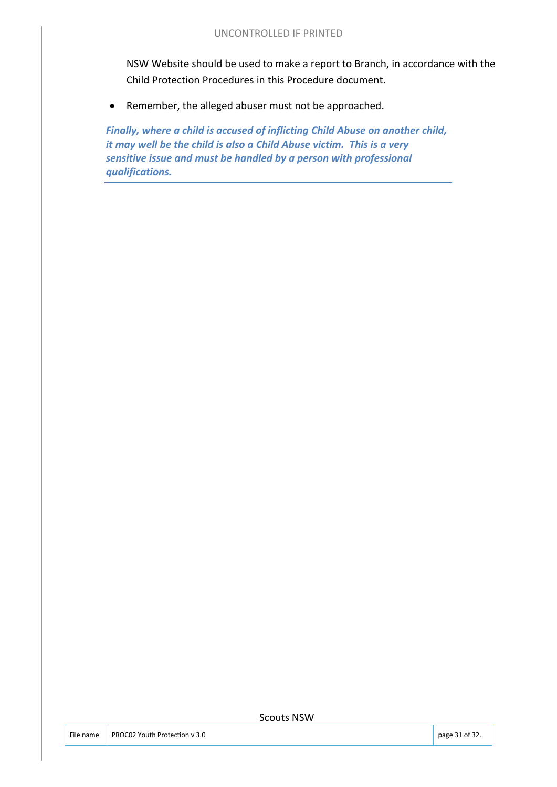NSW Website should be used to make a report to Branch, in accordance with the Child Protection Procedures in this Procedure document.

• Remember, the alleged abuser must not be approached.

*Finally, where a child is accused of inflicting Child Abuse on another child, it may well be the child is also a Child Abuse victim. This is a very sensitive issue and must be handled by a person with professional qualifications.*